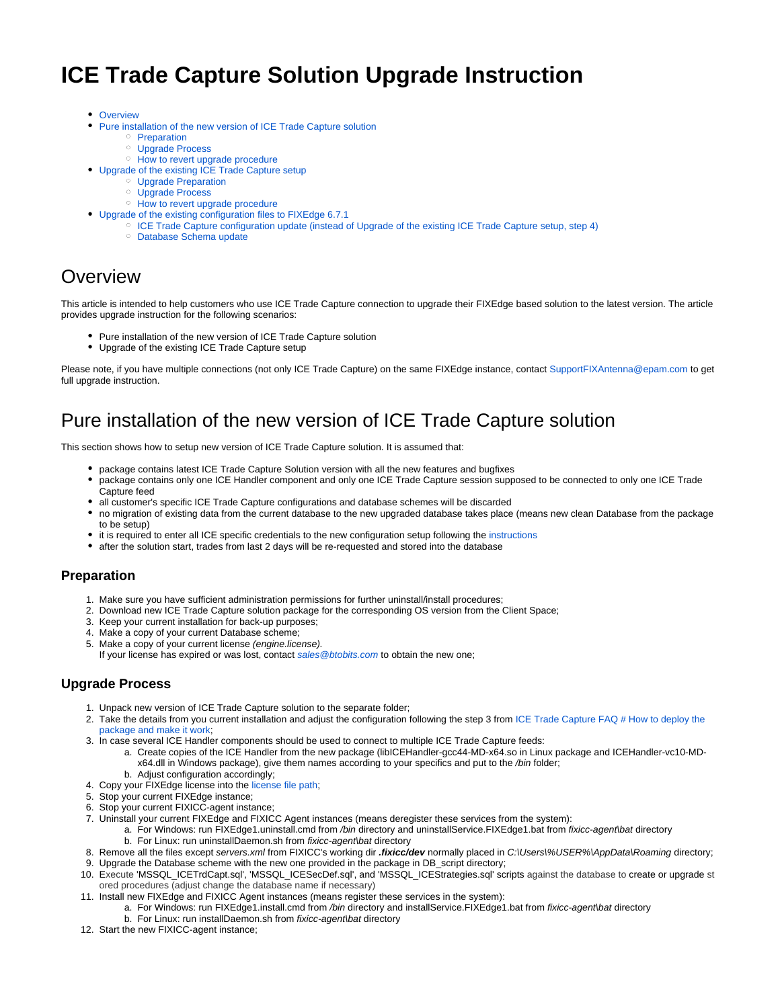# **ICE Trade Capture Solution Upgrade Instruction**

- [Overview](#page-0-0)
- [Pure installation of the new version of ICE Trade Capture solution](#page-0-1)
	- <sup>o</sup> [Preparation](#page-0-2)
		- [Upgrade Process](#page-0-3)
	- <sup>o</sup> [How to revert upgrade procedure](#page-1-0)
- [Upgrade of the existing ICE Trade Capture setup](#page-1-1)
	- [Upgrade Preparation](#page-1-2)
	- [Upgrade Process](#page-1-3)
	- <sup>o</sup> [How to revert upgrade procedure](#page-2-0)
- [Upgrade of the existing configuration files to FIXEdge 6.7.1](#page-2-1)
	- <sup>o</sup> [ICE Trade Capture configuration update \(instead of Upgrade of the existing ICE Trade Capture setup, step 4\)](#page-2-2)
	- <sup>o</sup> [Database Schema update](#page-5-0)

## <span id="page-0-0"></span>**Overview**

This article is intended to help customers who use ICE Trade Capture connection to upgrade their FIXEdge based solution to the latest version. The article provides upgrade instruction for the following scenarios:

- Pure installation of the new version of ICE Trade Capture solution
- Upgrade of the existing ICE Trade Capture setup

Please note, if you have multiple connections (not only ICE Trade Capture) on the same FIXEdge instance, contact [SupportFIXAntenna@epam.com](mailto:SupportFIXAntenna@epam.com) to get full upgrade instruction.

### <span id="page-0-1"></span>Pure installation of the new version of ICE Trade Capture solution

This section shows how to setup new version of ICE Trade Capture solution. It is assumed that:

- package contains latest ICE Trade Capture Solution version with all the new features and bugfixes
- package contains only one ICE Handler component and only one ICE Trade Capture session supposed to be connected to only one ICE Trade Capture feed
- all customer's specific ICE Trade Capture configurations and database schemes will be discarded
- no migration of existing data from the current database to the new upgraded database takes place (means new clean Database from the package to be setup)
- it is required to enter all ICE specific credentials to the new configuration setup following the [instructions](https://kb.b2bits.com/display/B2BITS/ICE+Trade+Capture+FAQ#ICETradeCaptureFAQ-Howtodeploythepackageandmakeitwork)
- after the solution start, trades from last 2 days will be re-requested and stored into the database

#### <span id="page-0-2"></span>**Preparation**

- 1. Make sure you have sufficient administration permissions for further uninstall/install procedures;
- 2. Download new ICE Trade Capture solution package for the corresponding OS version from the Client Space;
- 3. Keep your current installation for back-up purposes;
- 4. Make a copy of your current Database scheme;
- 5. Make a copy of your current license (engine.license).
- If your license has expired or was lost, contact [sales@btobits.com](mailto:sales@btobits.com) to obtain the new one;

#### <span id="page-0-3"></span>**Upgrade Process**

- 1. Unpack new version of ICE Trade Capture solution to the separate folder;
- 2. Take the details from you current installation and adjust the configuration following the step 3 from ICE Trade Capture FAQ # How to deploy the [package and make it work](https://kb.b2bits.com/display/B2BITS/ICE+Trade+Capture+Solution+FAQ#ICETradeCaptureSolutionFAQ-Howtodeploythepackageandmakeitwork);
- 3. In case several ICE Handler components should be used to connect to multiple ICE Trade Capture feeds:
	- a. Create copies of the ICE Handler from the new package (libICEHandler-gcc44-MD-x64.so in Linux package and ICEHandler-vc10-MDx64.dll in Windows package), give them names according to your specifics and put to the /bin folder;
	- b. Adjust configuration accordingly;
- 4. Copy your FIXEdge license into the [license file path](https://kb.b2bits.com/display/B2BITS/FIX+Engine+parameters);
- 5. Stop your current FIXEdge instance;
- 6. Stop your current FIXICC-agent instance;
- 7. Uninstall your current FIXEdge and FIXICC Agent instances (means deregister these services from the system):
	- a. For Windows: run FIXEdge1.uninstall.cmd from /bin directory and uninstallService.FIXEdge1.bat from fixicc-agent\bat directory b. For Linux: run uninstallDaemon.sh from fixicc-agent\bat directory
- 8. Remove all the files except servers.xml from FIXICC's working dir **.fixicc/dev** normally placed in C:\Users\%USER%\AppData\Roaming directory;
- 9. Upgrade the Database scheme with the new one provided in the package in DB\_script directory;
- 10. Execute 'MSSQL\_ICETrdCapt.sql', 'MSSQL\_ICESecDef.sql', and 'MSSQL\_ICEStrategies.sql' scripts against the database to create or upgrade st ored procedures (adjust change the database name if necessary)
- 11. Install new FIXEdge and FIXICC Agent instances (means register these services in the system):
	- a. For Windows: run FIXEdge1.install.cmd from /bin directory and installService.FIXEdge1.bat from fixicc-agent\bat directory
	- b. For Linux: run installDaemon.sh from fixicc-agent\bat directory
- 12. Start the new FIXICC-agent instance;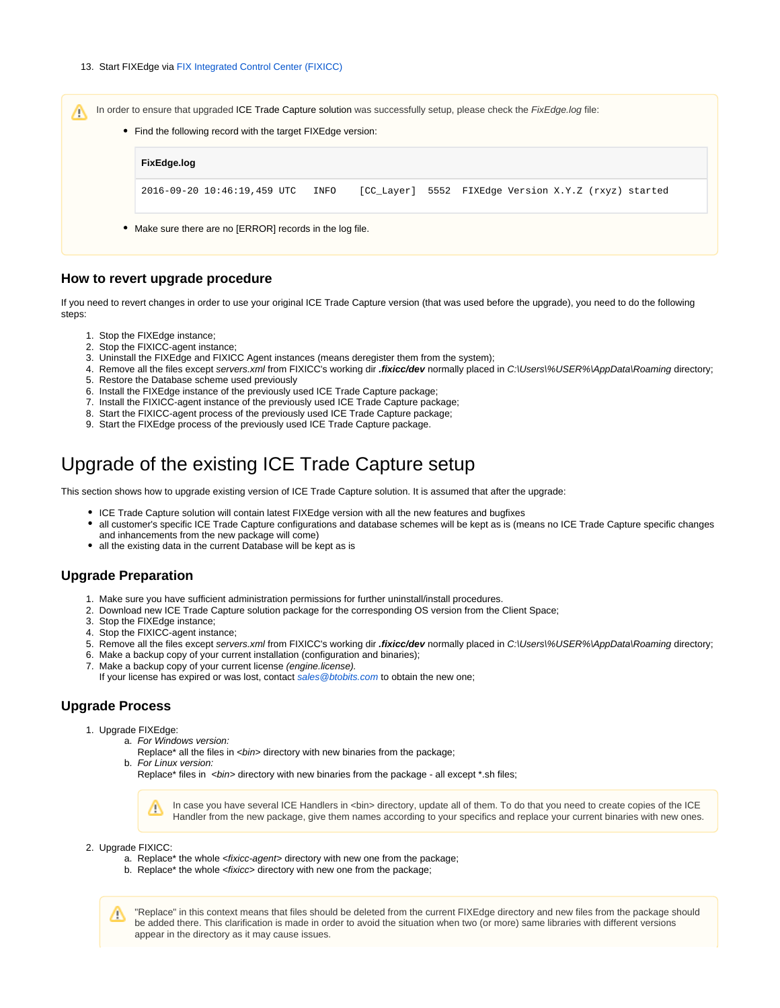

#### <span id="page-1-0"></span>**How to revert upgrade procedure**

If you need to revert changes in order to use your original ICE Trade Capture version (that was used before the upgrade), you need to do the following steps:

- 1. Stop the FIXEdge instance;
- 2. Stop the FIXICC-agent instance;
- 3. Uninstall the FIXEdge and FIXICC Agent instances (means deregister them from the system);
- 4. Remove all the files except servers.xml from FIXICC's working dir **.fixicc/dev** normally placed in C:\Users\%USER%\AppData\Roaming directory;
- 5. Restore the Database scheme used previously
- 6. Install the FIXEdge instance of the previously used ICE Trade Capture package;
- 7. Install the FIXICC-agent instance of the previously used ICE Trade Capture package;
- 8. Start the FIXICC-agent process of the previously used ICE Trade Capture package;
- 9. Start the FIXEdge process of the previously used ICE Trade Capture package.

### <span id="page-1-1"></span>Upgrade of the existing ICE Trade Capture setup

This section shows how to upgrade existing version of ICE Trade Capture solution. It is assumed that after the upgrade:

- ICE Trade Capture solution will contain latest FIXEdge version with all the new features and bugfixes
- all customer's specific ICE Trade Capture configurations and database schemes will be kept as is (means no ICE Trade Capture specific changes and inhancements from the new package will come)
- all the existing data in the current Database will be kept as is

#### <span id="page-1-2"></span>**Upgrade Preparation**

- 1. Make sure you have sufficient administration permissions for further uninstall/install procedures.
- 2. Download new ICE Trade Capture solution package for the corresponding OS version from the Client Space;
- 3. Stop the FIXEdge instance;
- 4. Stop the FIXICC-agent instance;
- 5. Remove all the files except servers.xml from FIXICC's working dir **.fixicc/dev** normally placed in C:\Users\%USER%\AppData\Roaming directory;
- 6. Make a backup copy of your current installation (configuration and binaries);
- 7. Make a backup copy of your current license (engine.license).

If your license has expired or was lost, contact [sales@btobits.com](mailto:sales@btobits.com) to obtain the new one;

#### <span id="page-1-3"></span>**Upgrade Process**

- 1. Upgrade FIXEdge:
	- a. For Windows version:
		- b. For Linux version: Replace\* all the files in <br/> <br/> directory with new binaries from the package;

Replace\* files in <br/> <br />
directory with new binaries from the package - all except \*.sh files;

In case you have several ICE Handlers in <bin> directory, update all of them. To do that you need to create copies of the ICE Δ Handler from the new package, give them names according to your specifics and replace your current binaries with new ones.

- 2. Upgrade FIXICC:
	- a. Replace\* the whole <*fixicc-agent*> directory with new one from the package;
	- b. Replace\* the whole <*fixicc*> directory with new one from the package;

"Replace" in this context means that files should be deleted from the current FIXEdge directory and new files from the package should Λ be added there. This clarification is made in order to avoid the situation when two (or more) same libraries with different versions appear in the directory as it may cause issues.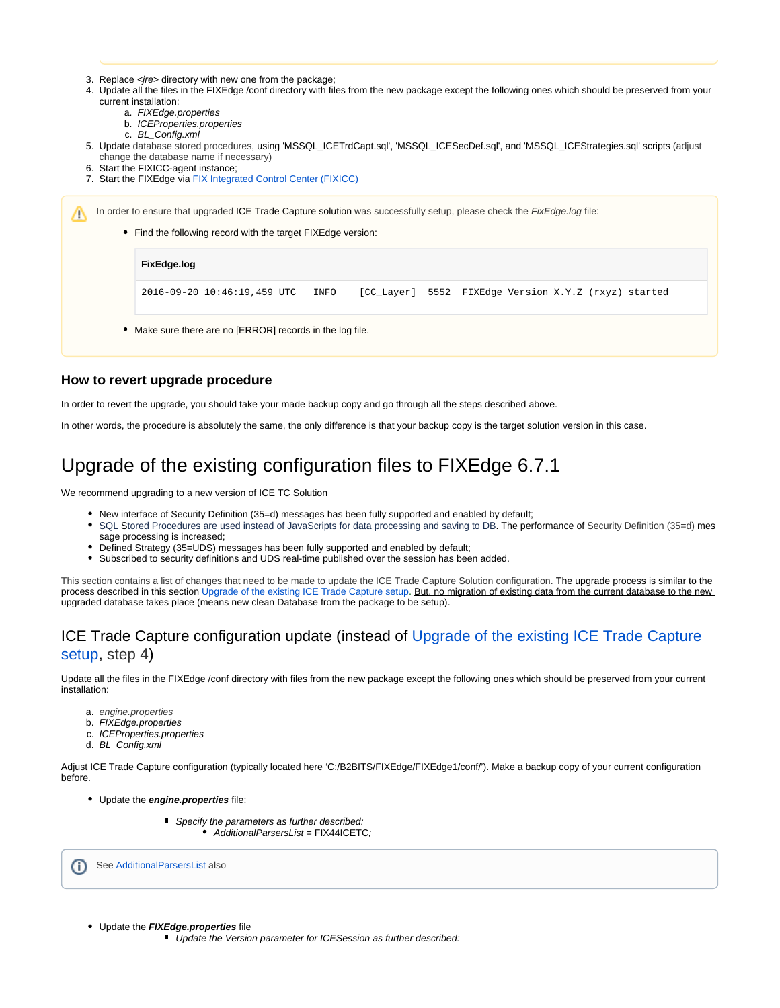- 3. Replace <*jre*> directory with new one from the package;
- 4. Update all the files in the FIXEdge /conf directory with files from the new package except the following ones which should be preserved from your current installation:
	- a. FIXEdge.properties
	- b. ICEProperties.properties
	- c. BL\_Config.xml
- 5. Update database stored procedures, using 'MSSQL\_ICETrdCapt.sql', 'MSSQL\_ICESecDef.sql', and 'MSSQL\_ICEStrategies.sql' scripts (adjust change the database name if necessary)
- 6. Start the FIXICC-agent instance;

Λ

7. Start the FIXEdge via [FIX Integrated Control Center \(FIXICC\)](https://kb.b2bits.com/display/B2BITS/FIXICC+User+Guide)

In order to ensure that upgraded ICE Trade Capture solution was successfully setup, please check the FixEdge.log file:

• Find the following record with the target FIXEdge version:

#### **FixEdge.log**

2016-09-20 10:46:19,459 UTC INFO [CC\_Layer] 5552 FIXEdge Version X.Y.Z (rxyz) started

Make sure there are no [ERROR] records in the log file.

#### <span id="page-2-0"></span>**How to revert upgrade procedure**

In order to revert the upgrade, you should take your made backup copy and go through all the steps described above.

In other words, the procedure is absolutely the same, the only difference is that your backup copy is the target solution version in this case.

## <span id="page-2-1"></span>Upgrade of the existing configuration files to FIXEdge 6.7.1

We recommend upgrading to a new version of ICE TC Solution

- New interface of Security Definition (35=d) messages has been fully supported and enabled by default;
- $\bullet$ SQL Stored Procedures are used instead of JavaScripts for data processing and saving to DB. The performance of Security Definition (35=d) mes sage processing is increased:
- Defined Strategy (35=UDS) messages has been fully supported and enabled by default;
- Subscribed to security definitions and UDS real-time published over the session has been added.

This section contains a list of changes that need to be made to update the ICE Trade Capture Solution configuration. The upgrade process is similar to the process described in this section [Upgrade of the existing ICE Trade Capture setup.](https://kb.b2bits.com/display/B2BITS/ICE+Trade+Capture+Upgrade+Instruction#ICETradeCaptureUpgradeInstruction-UpgradeoftheexistingICETradeCapturesetup) But, no migration of existing data from the current database to the new upgraded database takes place (means new clean Database from the package to be setup).

### <span id="page-2-2"></span>ICE Trade Capture configuration update (instead of [Upgrade of the existing ICE Trade Capture](https://kb.b2bits.com/display/B2BITS/ICE+Trade+Capture+Upgrade+Instruction#ICETradeCaptureUpgradeInstruction-UpgradeoftheexistingICETradeCapturesetup)  [setup](https://kb.b2bits.com/display/B2BITS/ICE+Trade+Capture+Upgrade+Instruction#ICETradeCaptureUpgradeInstruction-UpgradeoftheexistingICETradeCapturesetup), step 4)

Update all the files in the FIXEdge /conf directory with files from the new package except the following ones which should be preserved from your current installation:

- a. engine.properties
- b. FIXEdge.properties
- c. ICEProperties.properties
- d. BL\_Config.xml

Adjust ICE Trade Capture configuration (typically located here 'C:/B2BITS/FIXEdge/FIXEdge1/conf/'). Make a backup copy of your current configuration before.

- Update the **engine.properties** file:
	- Specify the parameters as further described: AdditionalParsersList = FIX44ICETC;

O) See [AdditionalParsersList](https://kb.b2bits.com/display/B2BITS/FIX+Engine+parameters#FIXEngineparameters-AdditionalParsersList) also

- Update the **FIXEdge.properties** file
	- Update the Version parameter for ICESession as further described: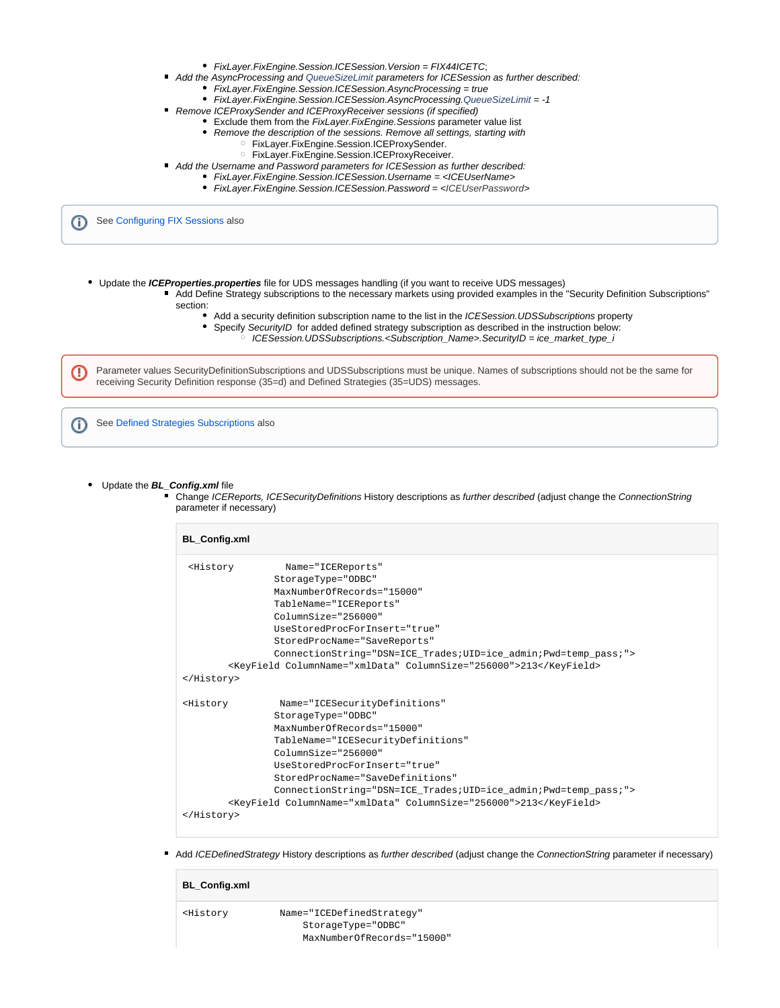- FixLayer.FixEngine.Session.ICESession.Version = FIX44ICETC;
- Add the AsyncProcessing and QueueSizeLimit parameters for ICESession as further described:
	- FixLayer.FixEngine.Session.ICESession.AsyncProcessing = true
	- FixLayer.FixEngine.Session.ICESession.AsyncProcessing.QueueSizeLimit = -1
- $\blacksquare$ Remove ICEProxySender and ICEProxyReceiver sessions (if specified)
	- **Exclude them from the FixLayer. FixEngine. Sessions parameter value list** 
		- Remove the description of the sessions. Remove all settings, starting with
			- FixLayer.FixEngine.Session.ICEProxySender.
				- FixLayer.FixEngine.Session.ICEProxyReceiver.
- Add the Username and Password parameters for ICES ession as further described:
	- FixLayer.FixEngine.Session.ICESession.Username = <ICEUserName>
		- FixLayer.FixEngine.Session.ICESession.Password = <ICEUserPassword>

(ï) See [Configuring FIX Sessions](https://kb.b2bits.com/display/B2BITS/Configuring+FIX+Sessions?src=contextnavpagetreemode) also

 $\blacksquare$ 

- Update the **ICEProperties.properties** file for UDS messages handling (if you want to receive UDS messages)
	- Add Define Strategy subscriptions to the necessary markets using provided examples in the "Security Definition Subscriptions" section:
		- Add a security definition subscription name to the list in the ICESession.UDSSubscriptions property
			- Specify SecurityID for added defined strategy subscription as described in the instruction below:
				- $\circ$  ICESession.UDSSubscriptions.<Subscription\_Name>.SecurityID = ice\_market\_type\_i

Parameter values SecurityDefinitionSubscriptions and UDSSubscriptions must be unique. Names of subscriptions should not be the same for receiving Security Definition response (35=d) and Defined Strategies (35=UDS) messages.

See [Defined Strategies Subscriptions](https://kb.b2bits.com/display/B2BITS/ICE+Trade+Capture+FAQ#ICETradeCaptureFAQ-DefinedStrategiesSubscriptions) alsoO)

Update the **BL\_Config.xml** file

ο

Change ICEReports, ICESecurityDefinitions History descriptions as further described (adjust change the ConnectionString parameter if necessary)

| <b>BL_Config.xml</b>                                              |                                                                    |  |
|-------------------------------------------------------------------|--------------------------------------------------------------------|--|
| <history< th=""><th>Name="ICEReports"</th></history<>             | Name="ICEReports"                                                  |  |
|                                                                   | StorageType="ODBC"                                                 |  |
|                                                                   | MaxNumberOfRecords="15000"                                         |  |
|                                                                   | TableName="ICEReports"                                             |  |
|                                                                   | $C_0$ ] $numSize = "256000"$                                       |  |
|                                                                   | UseStoredProcForInsert="true"                                      |  |
|                                                                   | StoredProcName="SaveReports"                                       |  |
|                                                                   | ConnectionString="DSN=ICE Trades; UID=ice admin; Pwd=temp pass; "> |  |
| <keyfield columnname="xmlData" columnsize="256000">213</keyfield> |                                                                    |  |
|                                                                   |                                                                    |  |
| <history< th=""><td>Name="ICESecurityDefinitions"</td></history<> | Name="ICESecurityDefinitions"                                      |  |
|                                                                   | StorageType="ODBC"                                                 |  |
|                                                                   | MaxNumberOfRecords="15000"                                         |  |
|                                                                   | TableName="ICESecurityDefinitions"                                 |  |
|                                                                   | $ColumnSize = "256000"$                                            |  |
|                                                                   | UseStoredProcForInsert="true"                                      |  |
|                                                                   | StoredProcName="SaveDefinitions"                                   |  |
|                                                                   | ConnectionString="DSN=ICE Trades; UID=ice admin; Pwd=temp pass; "> |  |
|                                                                   | <keyfield columnname="xmlData" columnsize="256000">213</keyfield>  |  |
|                                                                   |                                                                    |  |
|                                                                   |                                                                    |  |

Add ICEDefinedStrategy History descriptions as further described (adjust change the ConnectionString parameter if necessary)

| <b>BL_Config.xml</b>                                          |                            |
|---------------------------------------------------------------|----------------------------|
| <history< th=""><th>Name="ICEDefinedStrateqy"</th></history<> | Name="ICEDefinedStrateqy"  |
|                                                               | StorageType="ODBC"         |
|                                                               | MaxNumberOfRecords="15000" |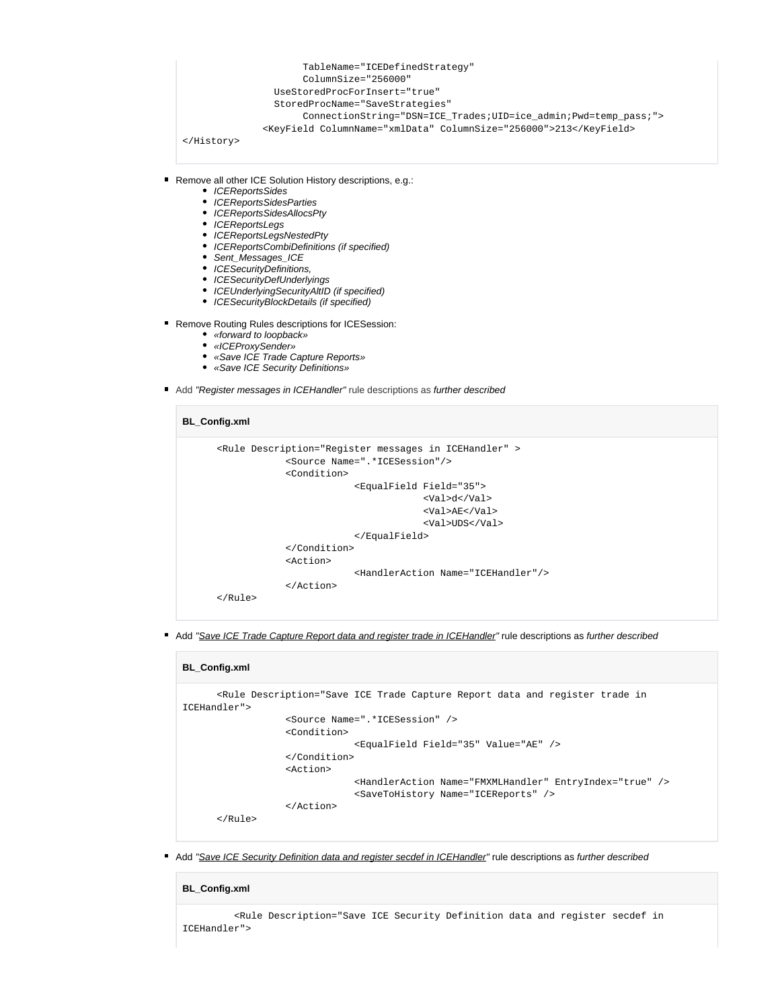```
 TableName="ICEDefinedStrategy"
                      ColumnSize="256000"
                 UseStoredProcForInsert="true"
                 StoredProcName="SaveStrategies"
                      ConnectionString="DSN=ICE_Trades;UID=ice_admin;Pwd=temp_pass;">
               <KeyField ColumnName="xmlData" ColumnSize="256000">213</KeyField> 
</History>
```
■ Remove all other ICE Solution History descriptions, e.g.:

- ICEReportsSides
- ICEReportsSidesParties
- ICEReportsSidesAllocsPty
- ICEReportsLegs
- ICEReportsLegsNestedPty
- ICEReportsCombiDefinitions (if specified)
- Sent\_Messages\_ICE
- ICESecurityDefinitions,
- ICESecurityDefUnderlyings
- ICEUnderlyingSecurityAltID (if specified)
- ICESecurityBlockDetails (if specified)
- Remove Routing Rules descriptions for ICESession:
	- «forward to loopback»
	- «ICEProxySender»
	- «Save ICE Trade Capture Reports»
	- «Save ICE Security Definitions»
- Add "Register messages in ICEHandler" rule descriptions as further described

```
BL_Config.xml
       <Rule Description="Register messages in ICEHandler" >
                    <Source Name=".*ICESession"/>
                    <Condition>
                                 <EqualField Field="35">
                                              <Val>d</Val>
                                              <Val>AE</Val>
                                              <Val>UDS</Val>
                                 </EqualField>
                    </Condition>
                    <Action>
                                 <HandlerAction Name="ICEHandler"/>
                    </Action>
       </Rule>
```
Add "Save ICE Trade Capture Report data and register trade in ICEHandler" rule descriptions as further described

| <b>BL</b> Config.xml |                                                                                                                                                                                                                                                     |
|----------------------|-----------------------------------------------------------------------------------------------------------------------------------------------------------------------------------------------------------------------------------------------------|
| ICEHandler">         | <rule .*icesession"="" description="Save ICE Trade Capture Report data and register trade in&lt;/td&gt;&lt;/tr&gt;&lt;tr&gt;&lt;td&gt;&lt;/td&gt;&lt;td&gt;&lt;/td&gt;&lt;/tr&gt;&lt;tr&gt;&lt;td&gt;&lt;/td&gt;&lt;td&gt;&lt;Source Name="></rule> |
|                      | <condition></condition>                                                                                                                                                                                                                             |
|                      | <equalfield field="35" value="AE"></equalfield>                                                                                                                                                                                                     |
|                      |                                                                                                                                                                                                                                                     |
|                      | <action></action>                                                                                                                                                                                                                                   |
|                      | <handleraction entryindex="true" name="FMXMLHandler"></handleraction>                                                                                                                                                                               |
|                      | <savetohistory name="ICEReports"></savetohistory>                                                                                                                                                                                                   |
|                      | $\langle$ Action>                                                                                                                                                                                                                                   |
| $\langle$ /Rule>     |                                                                                                                                                                                                                                                     |

Add "Save ICE Security Definition data and register secdef in ICEHandler" rule descriptions as further described

#### **BL\_Config.xml**

 <Rule Description="Save ICE Security Definition data and register secdef in ICEHandler">